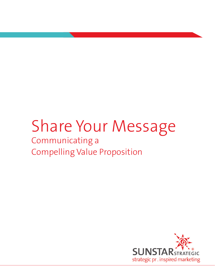# Share Your Message

# Communicating a Compelling Value Proposition

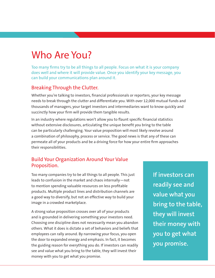# Who Are You?

Too many firms try to be all things to all people. Focus on what it is your company does well and where it will provide value. Once you identify your key message, you can build your communications plan around it.

## Breaking Through the Clutter.

Whether you're talking to investors, financial professionals or reporters, your key message needs to break through the clutter and differentiate you. With over 12,000 mutual funds and thousands of managers, your target investors and intermediaries want to know quickly and succinctly how your firm will provide them tangible results.

In an industry where regulations won't allow you to flaunt specific financial statistics without extensive disclosures, articulating the unique benefit you bring to the table can be particularly challenging. Your value proposition will most likely revolve around a combination of philosophy, process or service. The good news is that any of these can permeate all of your products and be a driving force for how your entire firm approaches their responsibilities.

## Build Your Organization Around Your Value Proposition.

Too many companies try to be all things to all people. This just leads to confusion in the market and chaos internally—not to mention spending valuable resources on less profitable products. Multiple product lines and distribution channels are a good way to diversify, but not an effective way to build your image in a crowded marketplace.

A strong value proposition crosses over all of your products and is grounded in delivering something your investors need. Choosing one discipline does not necessarily mean you abandon others. What it does is dictate a set of behaviors and beliefs that employees can rally around. By narrowing your focus, you open the door to expanded energy and emphasis. In fact, it becomes the guiding reason for everything you do. If investors can readily see and value what you bring to the table, they will invest their money with you to get what you promise.

**If investors can readily see and value what you bring to the table, they will invest their money with you to get what you promise.**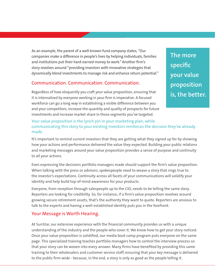As an example, the parent of a well-known fund company states, "Our companies make a difference in people's lives by helping individuals, families and institutions put their hard-earned money to work." Another firm's story revolves around "providing investors with innovative strategies that dynamically blend investments to manage risk and enhance return potential."

#### Communication. Communication. Communication.

Regardless of how eloquently you craft your value proposition, ensuring that it is internalized by everyone working in your firm is imperative. A focused workforce can go a long way in establishing a visible difference between you and your competitors, increase the quantity and quality of prospects for future investments and increase market share in those segments you've targeted.

**The more specific your value proposition is, the better.** 

#### Your value proposition is the lynch pin in your marketing plan, while communicating this story to your existing investors reinforces the decision they've already made.

It's important to remind current investors that they are getting what they signed up for by showing how your actions and performance delivered the value they expected. Building your public relations and marketing messages around your value proposition provides a sense of purpose and continuity to all your actions.

Even expressing the decisions portfolio managers made should support the firm's value proposition. When talking with the press or advisors, spokespeople need to weave a story that rings true to the investor's expectations. Continuity across all facets of your communications will solidify your identity and help build top-of-mind awareness for your products.

Everyone, from reception through salespeople up to the CIO, needs to be telling the same story. Reporters are looking for credibility. So, for instance, if a firm's value proposition revolves around growing secure retirement assets, that's the authority they want to quote. Reporters are anxious to talk to the experts and having a well-established identity puts you in the forefront.

### Your Message is Worth Hearing.

At SunStar, our extensive experience with the financial community provides us with a unique understanding of the industry and the people who cover it. We know how to get your story noticed. Once your value proposition is solidified, our media boot camp program puts everyone on the same page. This specialized training teaches portfolio managers how to control the interview process so that your story can be woven into every answer. Many firms have benefited by providing this same training to their wholesalers and customer service staff, ensuring that your key message is delivered to the public firm-wide - because, in the end, a story is only as good as the people telling it.